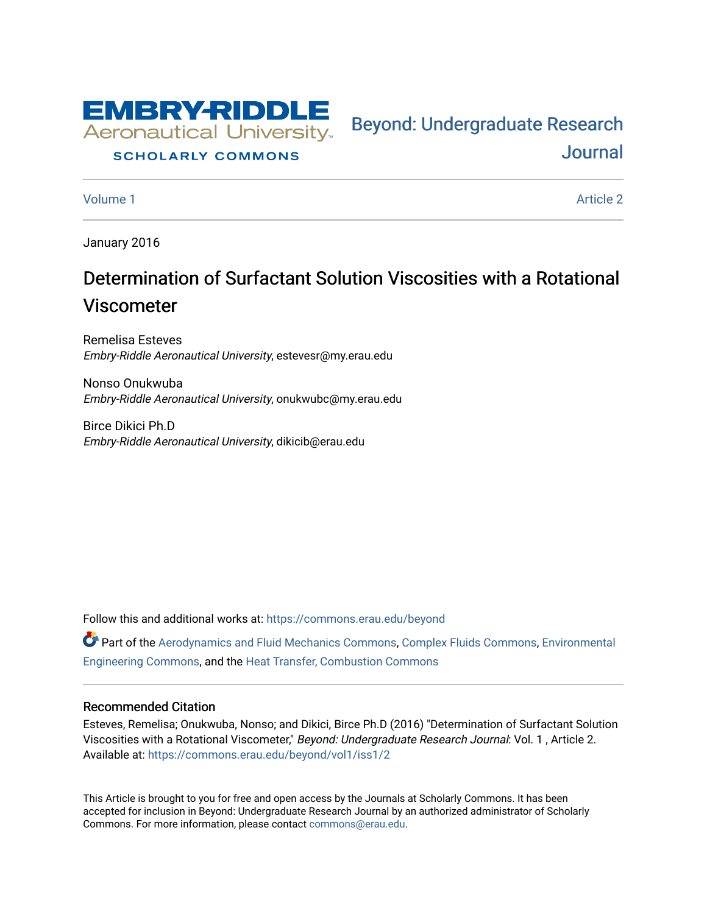

#### **SCHOLARLY COMMONS**

[Volume 1](https://commons.erau.edu/beyond/vol1) Article 2

[Journal](https://commons.erau.edu/beyond) 

Bey[ond: Undergraduate Resear](https://commons.erau.edu/beyond)ch

January 2016

# Determination of Surfactant Solution Viscosities with a Rotational Viscometer

Remelisa Esteves Embry-Riddle Aeronautical University, estevesr@my.erau.edu

Nonso Onukwuba Embry-Riddle Aeronautical University, onukwubc@my.erau.edu

Birce Dikici Ph.D Embry-Riddle Aeronautical University, dikicib@erau.edu

Follow this and additional works at: [https://commons.erau.edu/beyond](https://commons.erau.edu/beyond?utm_source=commons.erau.edu%2Fbeyond%2Fvol1%2Fiss1%2F2&utm_medium=PDF&utm_campaign=PDFCoverPages) 

Part of the [Aerodynamics and Fluid Mechanics Commons,](http://network.bepress.com/hgg/discipline/222?utm_source=commons.erau.edu%2Fbeyond%2Fvol1%2Fiss1%2F2&utm_medium=PDF&utm_campaign=PDFCoverPages) [Complex Fluids Commons](http://network.bepress.com/hgg/discipline/243?utm_source=commons.erau.edu%2Fbeyond%2Fvol1%2Fiss1%2F2&utm_medium=PDF&utm_campaign=PDFCoverPages), [Environmental](http://network.bepress.com/hgg/discipline/254?utm_source=commons.erau.edu%2Fbeyond%2Fvol1%2Fiss1%2F2&utm_medium=PDF&utm_campaign=PDFCoverPages) [Engineering Commons,](http://network.bepress.com/hgg/discipline/254?utm_source=commons.erau.edu%2Fbeyond%2Fvol1%2Fiss1%2F2&utm_medium=PDF&utm_campaign=PDFCoverPages) and the [Heat Transfer, Combustion Commons](http://network.bepress.com/hgg/discipline/300?utm_source=commons.erau.edu%2Fbeyond%2Fvol1%2Fiss1%2F2&utm_medium=PDF&utm_campaign=PDFCoverPages) 

#### Recommended Citation

Esteves, Remelisa; Onukwuba, Nonso; and Dikici, Birce Ph.D (2016) "Determination of Surfactant Solution Viscosities with a Rotational Viscometer," Beyond: Undergraduate Research Journal: Vol. 1, Article 2. Available at: [https://commons.erau.edu/beyond/vol1/iss1/2](https://commons.erau.edu/beyond/vol1/iss1/2?utm_source=commons.erau.edu%2Fbeyond%2Fvol1%2Fiss1%2F2&utm_medium=PDF&utm_campaign=PDFCoverPages) 

This Article is brought to you for free and open access by the Journals at Scholarly Commons. It has been accepted for inclusion in Beyond: Undergraduate Research Journal by an authorized administrator of Scholarly Commons. For more information, please contact [commons@erau.edu.](mailto:commons@erau.edu)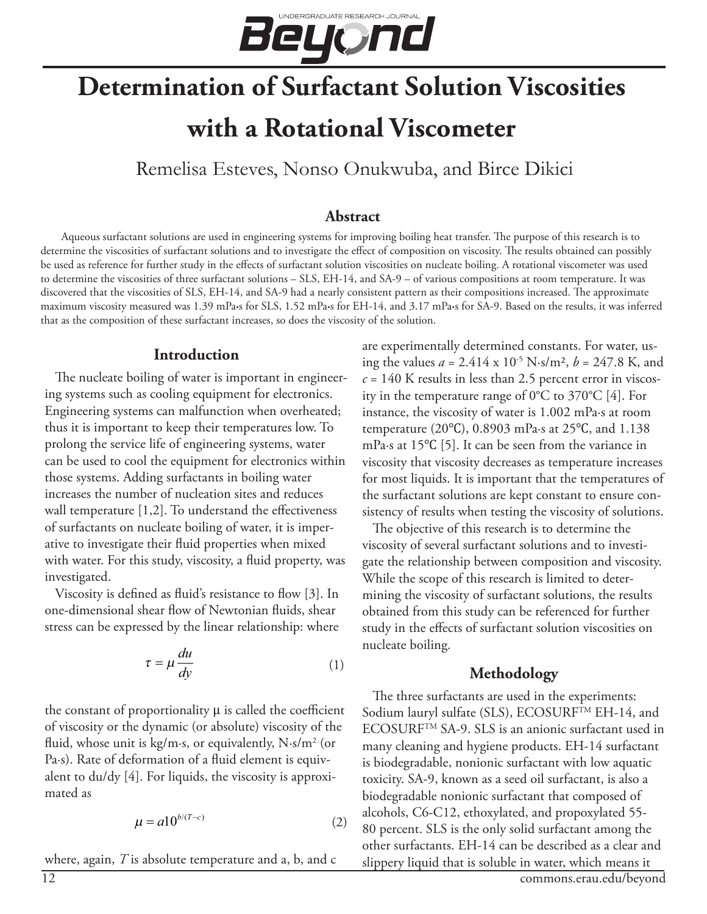

# **Determination of Surfactant Solution Viscosities with a Rotational Viscometer**

Remelisa Esteves, Nonso Onukwuba, and Birce Dikici

#### **Abstract**

Aqueous surfactant solutions are used in engineering systems for improving boiling heat transfer. The purpose of this research is to determine the viscosities of surfactant solutions and to investigate the effect of composition on viscosity. The results obtained can possibly be used as reference for further study in the effects of surfactant solution viscosities on nucleate boiling. A rotational viscometer was used to determine the viscosities of three surfactant solutions – SLS, EH-14, and SA-9 – of various compositions at room temperature. It was discovered that the viscosities of SLS, EH-14, and SA-9 had a nearly consistent pattern as their compositions increased. The approximate maximum viscosity measured was 1.39 mPa**∙**s for SLS, 1.52 mPa**∙**s for EH-14, and 3.17 mPa**∙**s for SA-9. Based on the results, it was inferred that as the composition of these surfactant increases, so does the viscosity of the solution.

#### **Introduction**

The nucleate boiling of water is important in engineering systems such as cooling equipment for electronics. Engineering systems can malfunction when overheated; thus it is important to keep their temperatures low. To prolong the service life of engineering systems, water can be used to cool the equipment for electronics within those systems. Adding surfactants in boiling water increases the number of nucleation sites and reduces wall temperature [1,2]. To understand the effectiveness of surfactants on nucleate boiling of water, it is imperative to investigate their fluid properties when mixed with water. For this study, viscosity, a fluid property, was investigated.

Viscosity is defined as fluid's resistance to flow [3]. In one-dimensional shear flow of Newtonian fluids, shear stress can be expressed by the linear relationship: where

$$
\tau = \mu \frac{du}{dy} \tag{1}
$$

the constant of proportionality μ is called the coefficient of viscosity or the dynamic (or absolute) viscosity of the fluid, whose unit is kg/m∙s, or equivalently, N∙s/m2 (or Pa∙s). Rate of deformation of a fluid element is equivalent to du/dy [4]. For liquids, the viscosity is approximated as

$$
\mu = a10^{b/(T-c)}\tag{2}
$$

where, again, *T* is absolute temperature and a, b, and c

are experimentally determined constants. For water, using the values  $a = 2.414 \times 10^{-5} \text{ N} \cdot \text{s/m}^2$ ,  $b = 247.8 \text{ K}$ , and *c* = 140 K results in less than 2.5 percent error in viscosity in the temperature range of 0°C to 370°C [4]. For instance, the viscosity of water is 1.002 mPa∙s at room temperature (20℃), 0.8903 mPa∙s at 25℃, and 1.138 mPa∙s at 15℃ [5]. It can be seen from the variance in viscosity that viscosity decreases as temperature increases for most liquids. It is important that the temperatures of the surfactant solutions are kept constant to ensure consistency of results when testing the viscosity of solutions.

The objective of this research is to determine the viscosity of several surfactant solutions and to investigate the relationship between composition and viscosity. While the scope of this research is limited to determining the viscosity of surfactant solutions, the results obtained from this study can be referenced for further study in the effects of surfactant solution viscosities on nucleate boiling.

#### **Methodology**

The three surfactants are used in the experiments: Sodium lauryl sulfate (SLS), ECOSURFTM EH-14, and ECOSURFTM SA-9. SLS is an anionic surfactant used in many cleaning and hygiene products. EH-14 surfactant is biodegradable, nonionic surfactant with low aquatic toxicity. SA-9, known as a seed oil surfactant, is also a biodegradable nonionic surfactant that composed of alcohols, C6-C12, ethoxylated, and propoxylated 55- 80 percent. SLS is the only solid surfactant among the other surfactants. EH-14 can be described as a clear and slippery liquid that is soluble in water, which means it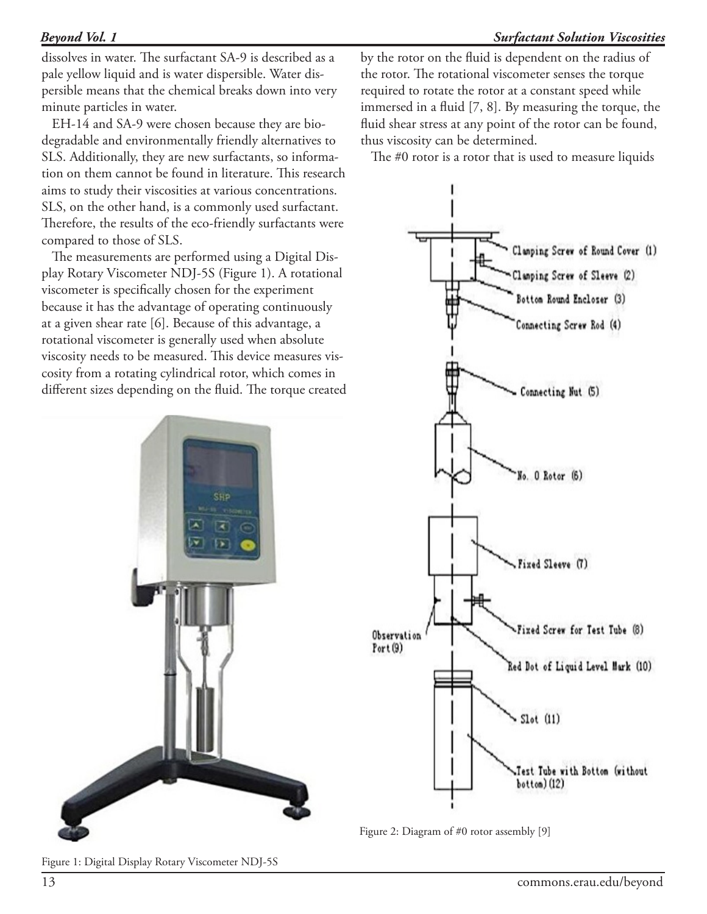# *Beyond Vol. 1*

dissolves in water. The surfactant SA-9 is described as a pale yellow liquid and is water dispersible. Water dispersible means that the chemical breaks down into very minute particles in water.

EH-14 and SA-9 were chosen because they are biodegradable and environmentally friendly alternatives to SLS. Additionally, they are new surfactants, so information on them cannot be found in literature. This research aims to study their viscosities at various concentrations. SLS, on the other hand, is a commonly used surfactant. Therefore, the results of the eco-friendly surfactants were compared to those of SLS.

The measurements are performed using a Digital Display Rotary Viscometer NDJ-5S (Figure 1). A rotational viscometer is specifically chosen for the experiment because it has the advantage of operating continuously at a given shear rate [6]. Because of this advantage, a rotational viscometer is generally used when absolute viscosity needs to be measured. This device measures viscosity from a rotating cylindrical rotor, which comes in different sizes depending on the fluid. The torque created



by the rotor on the fluid is dependent on the radius of the rotor. The rotational viscometer senses the torque required to rotate the rotor at a constant speed while immersed in a fluid [7, 8]. By measuring the torque, the fluid shear stress at any point of the rotor can be found, thus viscosity can be determined.

The #0 rotor is a rotor that is used to measure liquids



Figure 2: Diagram of #0 rotor assembly [9]

Figure 1: Digital Display Rotary Viscometer NDJ-5S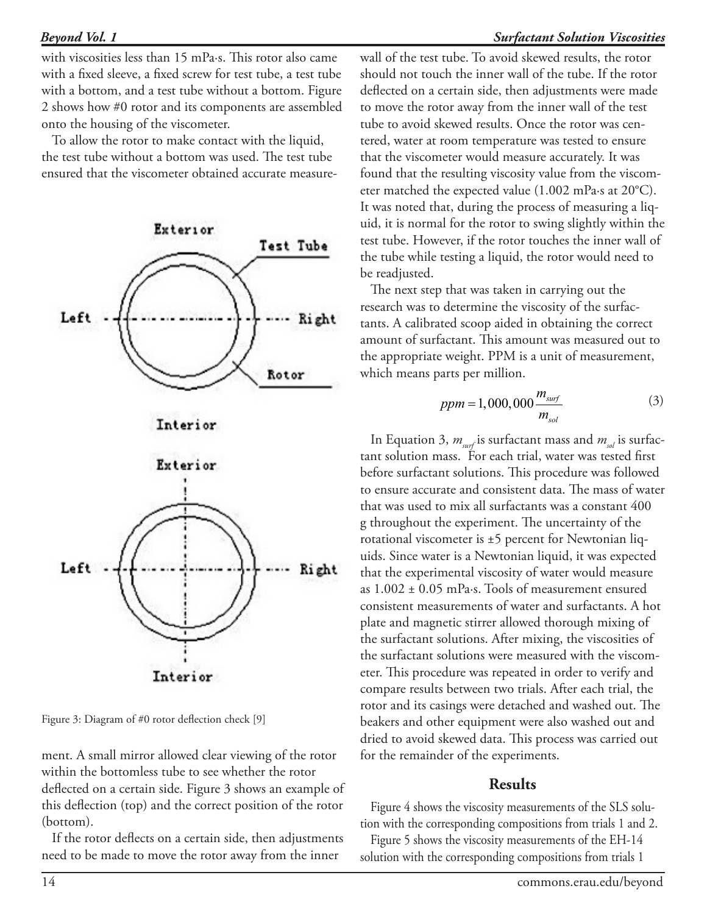with viscosities less than 15 mPa∙s. This rotor also came with a fixed sleeve, a fixed screw for test tube, a test tube with a bottom, and a test tube without a bottom. Figure 2 shows how #0 rotor and its components are assembled onto the housing of the viscometer.

To allow the rotor to make contact with the liquid, the test tube without a bottom was used. The test tube ensured that the viscometer obtained accurate measure-







Figure 3: Diagram of #0 rotor deflection check [9]

ment. A small mirror allowed clear viewing of the rotor within the bottomless tube to see whether the rotor deflected on a certain side. Figure 3 shows an example of this deflection (top) and the correct position of the rotor (bottom).

If the rotor deflects on a certain side, then adjustments need to be made to move the rotor away from the inner

wall of the test tube. To avoid skewed results, the rotor should not touch the inner wall of the tube. If the rotor deflected on a certain side, then adjustments were made to move the rotor away from the inner wall of the test tube to avoid skewed results. Once the rotor was centered, water at room temperature was tested to ensure that the viscometer would measure accurately. It was found that the resulting viscosity value from the viscometer matched the expected value (1.002 mPa∙s at 20°C). It was noted that, during the process of measuring a liquid, it is normal for the rotor to swing slightly within the test tube. However, if the rotor touches the inner wall of the tube while testing a liquid, the rotor would need to be readjusted.

The next step that was taken in carrying out the research was to determine the viscosity of the surfactants. A calibrated scoop aided in obtaining the correct amount of surfactant. This amount was measured out to the appropriate weight. PPM is a unit of measurement, which means parts per million.

$$
ppm = 1,000,000 \frac{m_{surf}}{m_{sol}}
$$
 (3)

In Equation 3,  $m_{\text{surf}}$  is surfactant mass and  $m_{\text{sol}}$  is surfactant solution mass. For each trial, water was tested first before surfactant solutions. This procedure was followed to ensure accurate and consistent data. The mass of water that was used to mix all surfactants was a constant 400 g throughout the experiment. The uncertainty of the rotational viscometer is ±5 percent for Newtonian liquids. Since water is a Newtonian liquid, it was expected that the experimental viscosity of water would measure as 1.002 ± 0.05 mPa∙s. Tools of measurement ensured consistent measurements of water and surfactants. A hot plate and magnetic stirrer allowed thorough mixing of the surfactant solutions. After mixing, the viscosities of the surfactant solutions were measured with the viscometer. This procedure was repeated in order to verify and compare results between two trials. After each trial, the rotor and its casings were detached and washed out. The beakers and other equipment were also washed out and dried to avoid skewed data. This process was carried out for the remainder of the experiments.

# **Results**

Figure 4 shows the viscosity measurements of the SLS solution with the corresponding compositions from trials 1 and 2.

Figure 5 shows the viscosity measurements of the EH-14 solution with the corresponding compositions from trials 1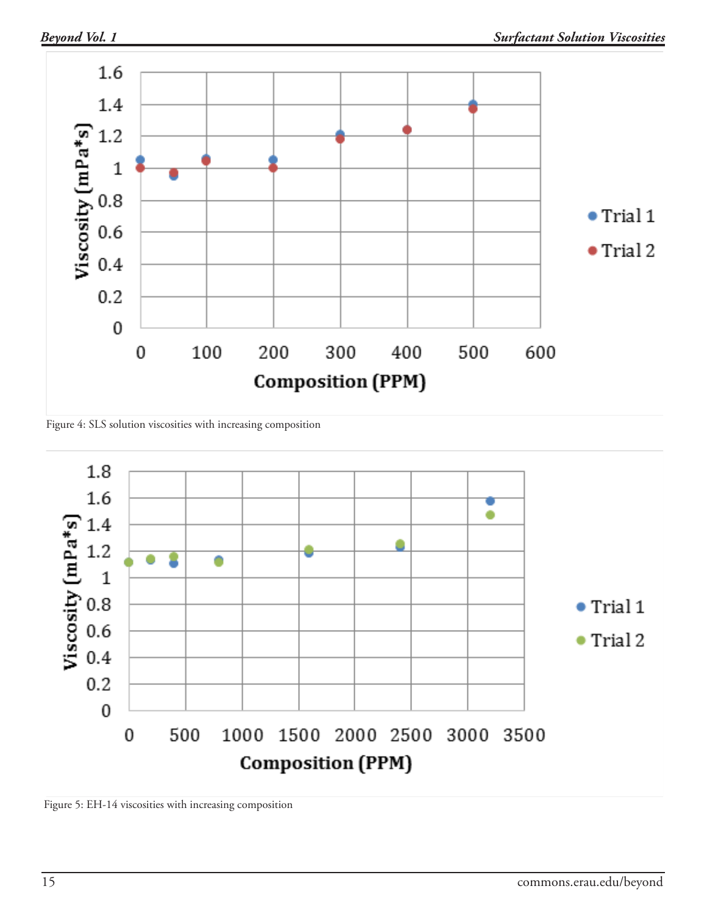

Figure 4: SLS solution viscosities with increasing composition



Figure 5: EH-14 viscosities with increasing composition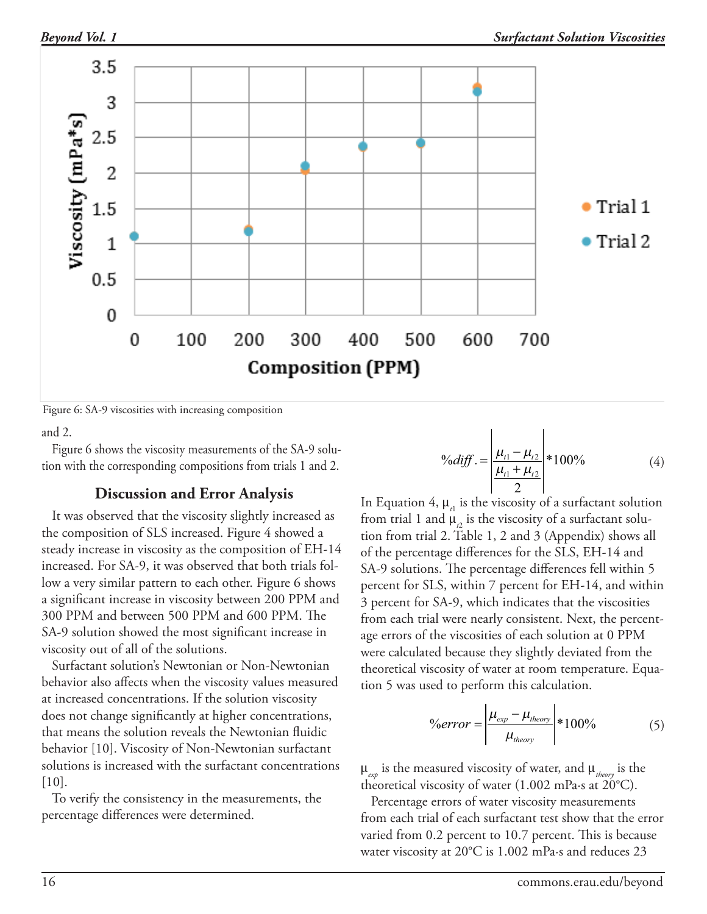



Figure 6: SA-9 viscosities with increasing composition

and 2.

Figure 6 shows the viscosity measurements of the SA-9 solution with the corresponding compositions from trials 1 and 2.

## **Discussion and Error Analysis**

It was observed that the viscosity slightly increased as the composition of SLS increased. Figure 4 showed a steady increase in viscosity as the composition of EH-14 increased. For SA-9, it was observed that both trials follow a very similar pattern to each other. Figure 6 shows a significant increase in viscosity between 200 PPM and 300 PPM and between 500 PPM and 600 PPM. The SA-9 solution showed the most significant increase in viscosity out of all of the solutions.

Surfactant solution's Newtonian or Non-Newtonian behavior also affects when the viscosity values measured at increased concentrations. If the solution viscosity does not change significantly at higher concentrations, that means the solution reveals the Newtonian fluidic behavior [10]. Viscosity of Non-Newtonian surfactant solutions is increased with the surfactant concentrations [10].

To verify the consistency in the measurements, the percentage differences were determined.

$$
\%diff. = \left| \frac{\mu_{t1} - \mu_{t2}}{\frac{\mu_{t1} + \mu_{t2}}{2}} \right| * 100\% \tag{4}
$$

In Equation 4,  $\mu_{\rm r1}$  is the viscosity of a surfactant solution from trial 1 and  $\mu_{_{2}}$  is the viscosity of a surfactant solution from trial 2. Table 1, 2 and 3 (Appendix) shows all of the percentage differences for the SLS, EH-14 and SA-9 solutions. The percentage differences fell within 5 percent for SLS, within 7 percent for EH-14, and within 3 percent for SA-9, which indicates that the viscosities from each trial were nearly consistent. Next, the percentage errors of the viscosities of each solution at 0 PPM were calculated because they slightly deviated from the theoretical viscosity of water at room temperature. Equation 5 was used to perform this calculation.

$$
\%error = \left| \frac{\mu_{exp} - \mu_{theory}}{\mu_{theory}} \right| * 100\% \tag{5}
$$

 $\mu_{\text{exp}}$  is the measured viscosity of water, and  $\mu_{\text{theory}}$  is the theoretical viscosity of water (1.002 mPa∙s at 20°C).

Percentage errors of water viscosity measurements from each trial of each surfactant test show that the error varied from 0.2 percent to 10.7 percent. This is because water viscosity at 20°C is 1.002 mPa∙s and reduces 23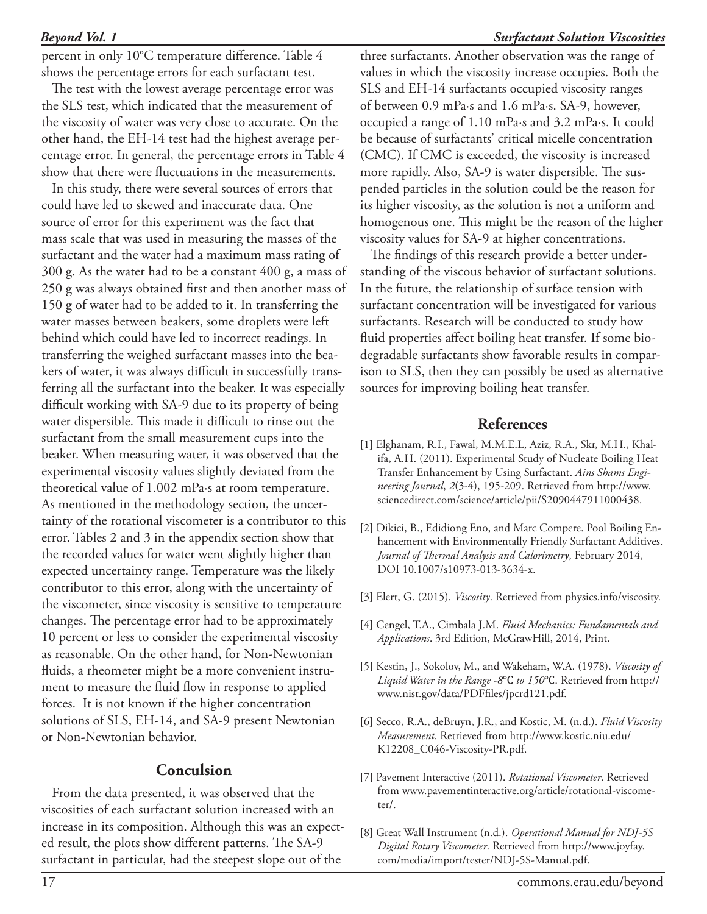#### *Beyond Vol. 1*

percent in only 10°C temperature difference. Table 4 shows the percentage errors for each surfactant test.

The test with the lowest average percentage error was the SLS test, which indicated that the measurement of the viscosity of water was very close to accurate. On the other hand, the EH-14 test had the highest average percentage error. In general, the percentage errors in Table 4 show that there were fluctuations in the measurements.

In this study, there were several sources of errors that could have led to skewed and inaccurate data. One source of error for this experiment was the fact that mass scale that was used in measuring the masses of the surfactant and the water had a maximum mass rating of 300 g. As the water had to be a constant 400 g, a mass of 250 g was always obtained first and then another mass of 150 g of water had to be added to it. In transferring the water masses between beakers, some droplets were left behind which could have led to incorrect readings. In transferring the weighed surfactant masses into the beakers of water, it was always difficult in successfully transferring all the surfactant into the beaker. It was especially difficult working with SA-9 due to its property of being water dispersible. This made it difficult to rinse out the surfactant from the small measurement cups into the beaker. When measuring water, it was observed that the experimental viscosity values slightly deviated from the theoretical value of 1.002 mPa∙s at room temperature. As mentioned in the methodology section, the uncertainty of the rotational viscometer is a contributor to this error. Tables 2 and 3 in the appendix section show that the recorded values for water went slightly higher than expected uncertainty range. Temperature was the likely contributor to this error, along with the uncertainty of the viscometer, since viscosity is sensitive to temperature changes. The percentage error had to be approximately 10 percent or less to consider the experimental viscosity as reasonable. On the other hand, for Non-Newtonian fluids, a rheometer might be a more convenient instrument to measure the fluid flow in response to applied forces. It is not known if the higher concentration solutions of SLS, EH-14, and SA-9 present Newtonian or Non-Newtonian behavior.

## **Conculsion**

From the data presented, it was observed that the viscosities of each surfactant solution increased with an increase in its composition. Although this was an expected result, the plots show different patterns. The SA-9 surfactant in particular, had the steepest slope out of the

# *Surfactant Solution Viscosities*

three surfactants. Another observation was the range of values in which the viscosity increase occupies. Both the SLS and EH-14 surfactants occupied viscosity ranges of between 0.9 mPa∙s and 1.6 mPa∙s. SA-9, however, occupied a range of 1.10 mPa∙s and 3.2 mPa∙s. It could be because of surfactants' critical micelle concentration (CMC). If CMC is exceeded, the viscosity is increased more rapidly. Also, SA-9 is water dispersible. The suspended particles in the solution could be the reason for its higher viscosity, as the solution is not a uniform and homogenous one. This might be the reason of the higher viscosity values for SA-9 at higher concentrations.

The findings of this research provide a better understanding of the viscous behavior of surfactant solutions. In the future, the relationship of surface tension with surfactant concentration will be investigated for various surfactants. Research will be conducted to study how fluid properties affect boiling heat transfer. If some biodegradable surfactants show favorable results in comparison to SLS, then they can possibly be used as alternative sources for improving boiling heat transfer.

#### **References**

- [1] Elghanam, R.I., Fawal, M.M.E.L, Aziz, R.A., Skr, M.H., Khalifa, A.H. (2011). Experimental Study of Nucleate Boiling Heat Transfer Enhancement by Using Surfactant. *Ains Shams Engineering Journal*, *2*(3-4), 195-209. Retrieved from http://www. sciencedirect.com/science/article/pii/S2090447911000438.
- [2] Dikici, B., Edidiong Eno, and Marc Compere. Pool Boiling Enhancement with Environmentally Friendly Surfactant Additives. *Journal of Thermal Analysis and Calorimetry*, February 2014, DOI 10.1007/s10973-013-3634-x.
- [3] Elert, G. (2015). *Viscosity*. Retrieved from physics.info/viscosity.
- [4] Cengel, T.A., Cimbala J.M. *Fluid Mechanics: Fundamentals and Applications*. 3rd Edition, McGrawHill, 2014, Print.
- [5] Kestin, J., Sokolov, M., and Wakeham, W.A. (1978). *Viscosity of Liquid Water in the Range -8*℃ *to 150*℃. Retrieved from http:// www.nist.gov/data/PDFfiles/jpcrd121.pdf.
- [6] Secco, R.A., deBruyn, J.R., and Kostic, M. (n.d.). *Fluid Viscosity Measurement*. Retrieved from http://www.kostic.niu.edu/ K12208\_C046-Viscosity-PR.pdf.
- [7] Pavement Interactive (2011). *Rotational Viscometer*. Retrieved from www.pavementinteractive.org/article/rotational-viscometer/.
- [8] Great Wall Instrument (n.d.). *Operational Manual for NDJ-5S Digital Rotary Viscometer*. Retrieved from http://www.joyfay. com/media/import/tester/NDJ-5S-Manual.pdf.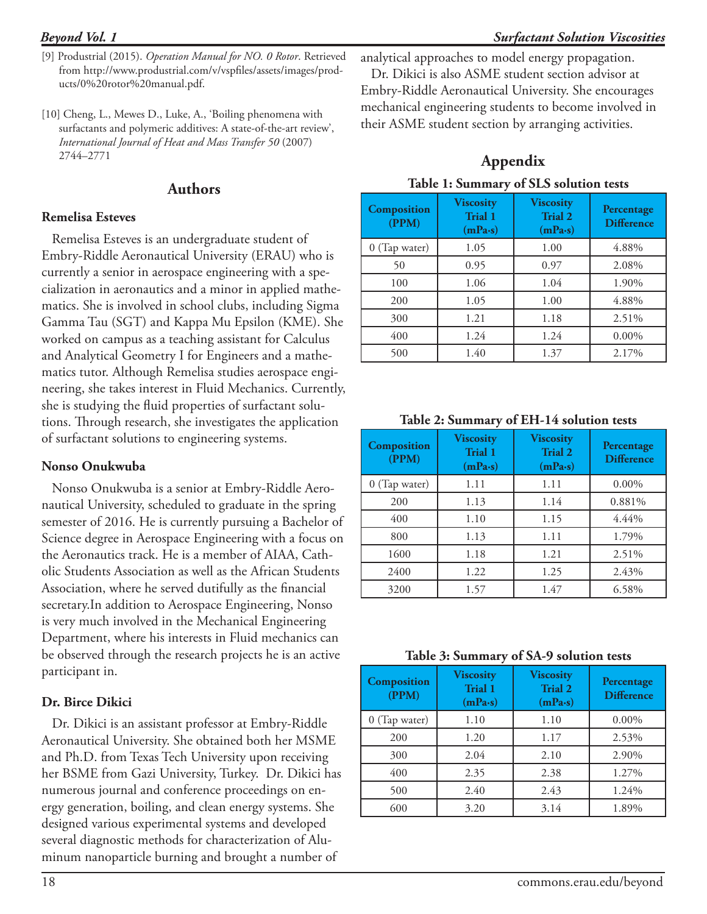- [9] Produstrial (2015). *Operation Manual for NO. 0 Rotor*. Retrieved from http://www.produstrial.com/v/vspfiles/assets/images/products/0%20rotor%20manual.pdf.
- [10] Cheng, L., Mewes D., Luke, A., 'Boiling phenomena with surfactants and polymeric additives: A state-of-the-art review', *International Journal of Heat and Mass Transfer 50* (2007) 2744–2771

#### **Authors**

#### **Remelisa Esteves**

Remelisa Esteves is an undergraduate student of Embry-Riddle Aeronautical University (ERAU) who is currently a senior in aerospace engineering with a specialization in aeronautics and a minor in applied mathematics. She is involved in school clubs, including Sigma Gamma Tau (SGT) and Kappa Mu Epsilon (KME). She worked on campus as a teaching assistant for Calculus and Analytical Geometry I for Engineers and a mathematics tutor. Although Remelisa studies aerospace engineering, she takes interest in Fluid Mechanics. Currently, she is studying the fluid properties of surfactant solutions. Through research, she investigates the application of surfactant solutions to engineering systems.

#### **Nonso Onukwuba**

Nonso Onukwuba is a senior at Embry-Riddle Aeronautical University, scheduled to graduate in the spring semester of 2016. He is currently pursuing a Bachelor of Science degree in Aerospace Engineering with a focus on the Aeronautics track. He is a member of AIAA, Catholic Students Association as well as the African Students Association, where he served dutifully as the financial secretary.In addition to Aerospace Engineering, Nonso is very much involved in the Mechanical Engineering Department, where his interests in Fluid mechanics can be observed through the research projects he is an active participant in.

#### **Dr. Birce Dikici**

Dr. Dikici is an assistant professor at Embry-Riddle Aeronautical University. She obtained both her MSME and Ph.D. from Texas Tech University upon receiving her BSME from Gazi University, Turkey. Dr. Dikici has numerous journal and conference proceedings on energy generation, boiling, and clean energy systems. She designed various experimental systems and developed several diagnostic methods for characterization of Aluminum nanoparticle burning and brought a number of

analytical approaches to model energy propagation.

Dr. Dikici is also ASME student section advisor at Embry-Riddle Aeronautical University. She encourages mechanical engineering students to become involved in their ASME student section by arranging activities.

# **Appendix**

| Composition<br>(PPM) | <b>Viscosity</b><br>Trial 1<br>(mPa·s) | <b>Viscosity</b><br><b>Trial 2</b><br>(mPa·s) | Percentage<br><b>Difference</b> |
|----------------------|----------------------------------------|-----------------------------------------------|---------------------------------|
| 0 (Tap water)        | 1.05                                   | 1.00                                          | 4.88%                           |
| 50                   | 0.95                                   | 0.97                                          | 2.08%                           |
| 100                  | 1.06                                   | 1.04                                          | 1.90%                           |
| 200                  | 1.05                                   | 1.00                                          | 4.88%                           |
| 300                  | 1.21                                   | 1.18                                          | 2.51%                           |
| 400                  | 1.24                                   | 1.24                                          | $0.00\%$                        |
| 500                  | 1.40                                   | 1.37                                          | 2.17%                           |

#### **Table 2: Summary of EH-14 solution tests**

| Composition<br>(PPM) | <b>Viscosity</b><br>Trial 1<br>(mPa·s) | <b>Viscosity</b><br><b>Trial 2</b><br>(mPa·s) | Percentage<br><b>Difference</b> |
|----------------------|----------------------------------------|-----------------------------------------------|---------------------------------|
| 0 (Tap water)        | 1.11                                   | 1.11                                          | $0.00\%$                        |
| 200                  | 1.13                                   | 1.14                                          | 0.881%                          |
| 400                  | 1.10                                   | 1.15                                          | 4.44%                           |
| 800                  | 1.13                                   | 1.11                                          | 1.79%                           |
| 1600                 | 1.18                                   | 1.21                                          | 2.51%                           |
| 2400                 | 1.22                                   | 1.25                                          | 2.43%                           |
| 3200                 | 1.57                                   | 1.47                                          | 6.58%                           |

**Table 3: Summary of SA-9 solution tests**

| Composition<br>(PPM) | <b>Viscosity</b><br>Trial 1<br>(mPa·s) | <b>Viscosity</b><br><b>Trial 2</b><br>(mPa·s) | Percentage<br><b>Difference</b> |
|----------------------|----------------------------------------|-----------------------------------------------|---------------------------------|
| 0 (Tap water)        | 1.10                                   | 1.10                                          | $0.00\%$                        |
| 200                  | 1.20                                   | 1.17                                          | 2.53%                           |
| 300                  | 2.04                                   | 2.10                                          | 2.90%                           |
| 400                  | 2.35                                   | 2.38                                          | 1.27%                           |
| 500                  | 2.40                                   | 2.43                                          | 1.24%                           |
| 600                  | 3.20                                   | 3.14                                          | 1.89%                           |